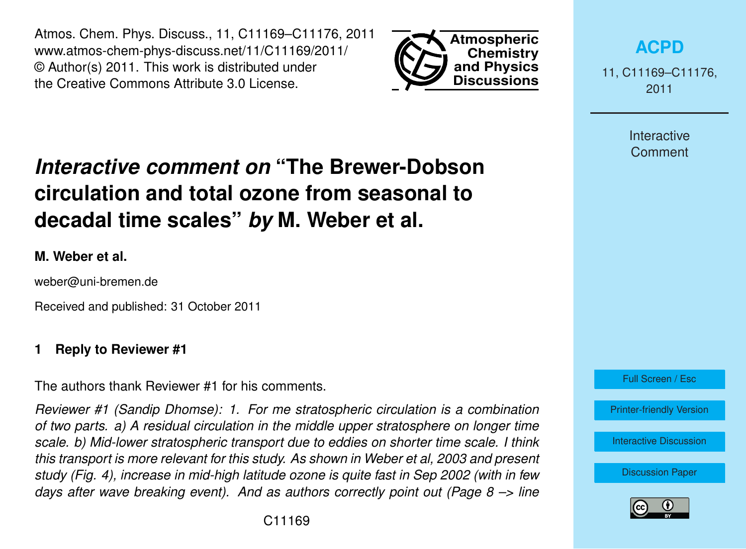Atmos. Chem. Phys. Discuss., 11, C11169–C11176, 2011 www.atmos-chem-phys-discuss.net/11/C11169/2011/ © Author(s) 2011. This work is distributed under the Creative Commons Attribute 3.0 License.



**[ACPD](http://www.atmos-chem-phys-discuss.net)**

11, C11169–C11176, 2011

> Interactive **Comment**

# *Interactive comment on* **"The Brewer-Dobson circulation and total ozone from seasonal to decadal time scales"** *by* **M. Weber et al.**

#### **M. Weber et al.**

weber@uni-bremen.de

Received and published: 31 October 2011

#### **1 Reply to Reviewer #1**

The authors thank Reviewer #1 for his comments.

*Reviewer #1 (Sandip Dhomse): 1. For me stratospheric circulation is a combination of two parts. a) A residual circulation in the middle upper stratosphere on longer time scale. b) Mid-lower stratospheric transport due to eddies on shorter time scale. I think this transport is more relevant for this study. As shown in Weber et al, 2003 and present study (Fig. 4), increase in mid-high latitude ozone is quite fast in Sep 2002 (with in few days after wave breaking event). And as authors correctly point out (Page 8 –> line*



[Printer-friendly Version](http://www.atmos-chem-phys-discuss.net/11/C11169/2011/acpd-11-C11169-2011-print.pdf)

[Interactive Discussion](http://www.atmos-chem-phys-discuss.net/11/13829/2011/acpd-11-13829-2011-discussion.html)

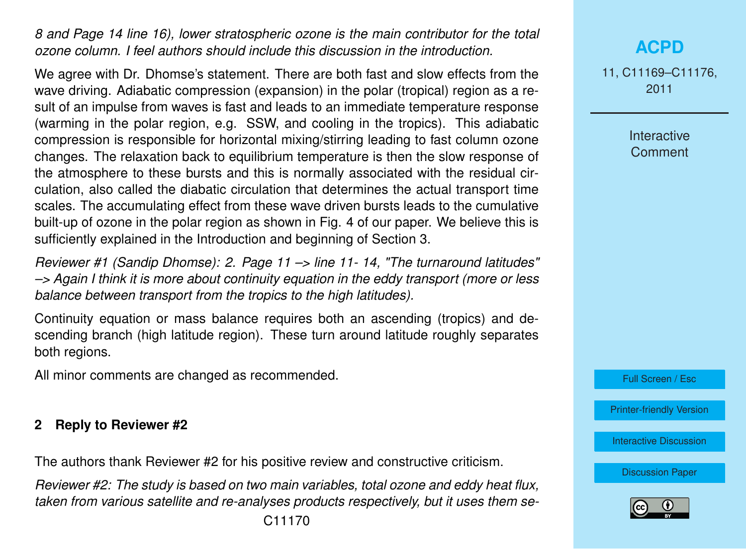*8 and Page 14 line 16), lower stratospheric ozone is the main contributor for the total ozone column. I feel authors should include this discussion in the introduction.*

We agree with Dr. Dhomse's statement. There are both fast and slow effects from the wave driving. Adiabatic compression (expansion) in the polar (tropical) region as a result of an impulse from waves is fast and leads to an immediate temperature response (warming in the polar region, e.g. SSW, and cooling in the tropics). This adiabatic compression is responsible for horizontal mixing/stirring leading to fast column ozone changes. The relaxation back to equilibrium temperature is then the slow response of the atmosphere to these bursts and this is normally associated with the residual circulation, also called the diabatic circulation that determines the actual transport time scales. The accumulating effect from these wave driven bursts leads to the cumulative built-up of ozone in the polar region as shown in Fig. 4 of our paper. We believe this is sufficiently explained in the Introduction and beginning of Section 3.

*Reviewer #1 (Sandip Dhomse): 2. Page 11 –> line 11- 14, "The turnaround latitudes" –> Again I think it is more about continuity equation in the eddy transport (more or less balance between transport from the tropics to the high latitudes).*

Continuity equation or mass balance requires both an ascending (tropics) and descending branch (high latitude region). These turn around latitude roughly separates both regions.

All minor comments are changed as recommended.

#### **2 Reply to Reviewer #2**

The authors thank Reviewer #2 for his positive review and constructive criticism.

*Reviewer #2: The study is based on two main variables, total ozone and eddy heat flux, taken from various satellite and re-analyses products respectively, but it uses them se-*

## **[ACPD](http://www.atmos-chem-phys-discuss.net)**

11, C11169–C11176, 2011

> Interactive **Comment**

Full Screen / Esc

[Printer-friendly Version](http://www.atmos-chem-phys-discuss.net/11/C11169/2011/acpd-11-C11169-2011-print.pdf)

[Interactive Discussion](http://www.atmos-chem-phys-discuss.net/11/13829/2011/acpd-11-13829-2011-discussion.html)

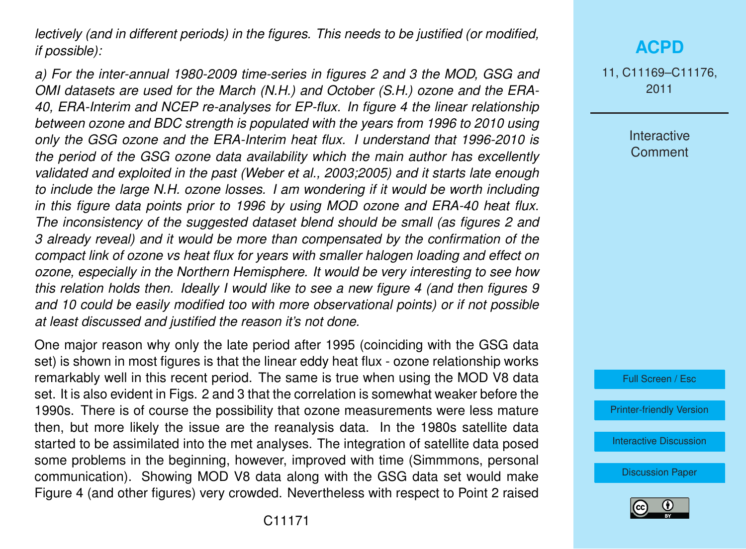*lectively (and in different periods) in the figures. This needs to be justified (or modified, if possible):*

*a) For the inter-annual 1980-2009 time-series in figures 2 and 3 the MOD, GSG and OMI datasets are used for the March (N.H.) and October (S.H.) ozone and the ERA-40, ERA-Interim and NCEP re-analyses for EP-flux. In figure 4 the linear relationship between ozone and BDC strength is populated with the years from 1996 to 2010 using only the GSG ozone and the ERA-Interim heat flux. I understand that 1996-2010 is the period of the GSG ozone data availability which the main author has excellently validated and exploited in the past (Weber et al., 2003;2005) and it starts late enough to include the large N.H. ozone losses. I am wondering if it would be worth including in this figure data points prior to 1996 by using MOD ozone and ERA-40 heat flux. The inconsistency of the suggested dataset blend should be small (as figures 2 and 3 already reveal) and it would be more than compensated by the confirmation of the compact link of ozone vs heat flux for years with smaller halogen loading and effect on ozone, especially in the Northern Hemisphere. It would be very interesting to see how this relation holds then. Ideally I would like to see a new figure 4 (and then figures 9 and 10 could be easily modified too with more observational points) or if not possible at least discussed and justified the reason it's not done.*

One major reason why only the late period after 1995 (coinciding with the GSG data set) is shown in most figures is that the linear eddy heat flux - ozone relationship works remarkably well in this recent period. The same is true when using the MOD V8 data set. It is also evident in Figs. 2 and 3 that the correlation is somewhat weaker before the 1990s. There is of course the possibility that ozone measurements were less mature then, but more likely the issue are the reanalysis data. In the 1980s satellite data started to be assimilated into the met analyses. The integration of satellite data posed some problems in the beginning, however, improved with time (Simmmons, personal communication). Showing MOD V8 data along with the GSG data set would make Figure 4 (and other figures) very crowded. Nevertheless with respect to Point 2 raised 11, C11169–C11176, 2011

> Interactive **Comment**



[Printer-friendly Version](http://www.atmos-chem-phys-discuss.net/11/C11169/2011/acpd-11-C11169-2011-print.pdf)

[Interactive Discussion](http://www.atmos-chem-phys-discuss.net/11/13829/2011/acpd-11-13829-2011-discussion.html)

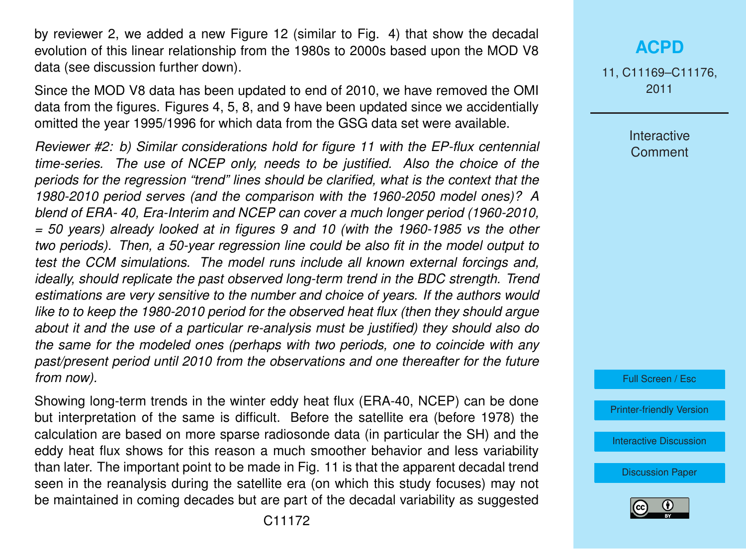by reviewer 2, we added a new Figure 12 (similar to Fig. 4) that show the decadal evolution of this linear relationship from the 1980s to 2000s based upon the MOD V8 data (see discussion further down).

Since the MOD V8 data has been updated to end of 2010, we have removed the OMI data from the figures. Figures 4, 5, 8, and 9 have been updated since we accidentially omitted the year 1995/1996 for which data from the GSG data set were available.

*Reviewer #2: b) Similar considerations hold for figure 11 with the EP-flux centennial time-series. The use of NCEP only, needs to be justified. Also the choice of the periods for the regression "trend" lines should be clarified, what is the context that the 1980-2010 period serves (and the comparison with the 1960-2050 model ones)? A blend of ERA- 40, Era-Interim and NCEP can cover a much longer period (1960-2010, = 50 years) already looked at in figures 9 and 10 (with the 1960-1985 vs the other two periods). Then, a 50-year regression line could be also fit in the model output to test the CCM simulations. The model runs include all known external forcings and, ideally, should replicate the past observed long-term trend in the BDC strength. Trend estimations are very sensitive to the number and choice of years. If the authors would like to to keep the 1980-2010 period for the observed heat flux (then they should argue about it and the use of a particular re-analysis must be justified) they should also do the same for the modeled ones (perhaps with two periods, one to coincide with any past/present period until 2010 from the observations and one thereafter for the future from now).*

Showing long-term trends in the winter eddy heat flux (ERA-40, NCEP) can be done but interpretation of the same is difficult. Before the satellite era (before 1978) the calculation are based on more sparse radiosonde data (in particular the SH) and the eddy heat flux shows for this reason a much smoother behavior and less variability than later. The important point to be made in Fig. 11 is that the apparent decadal trend seen in the reanalysis during the satellite era (on which this study focuses) may not be maintained in coming decades but are part of the decadal variability as suggested

## **[ACPD](http://www.atmos-chem-phys-discuss.net)**

11, C11169–C11176, 2011

> Interactive **Comment**



[Printer-friendly Version](http://www.atmos-chem-phys-discuss.net/11/C11169/2011/acpd-11-C11169-2011-print.pdf)

[Interactive Discussion](http://www.atmos-chem-phys-discuss.net/11/13829/2011/acpd-11-13829-2011-discussion.html)

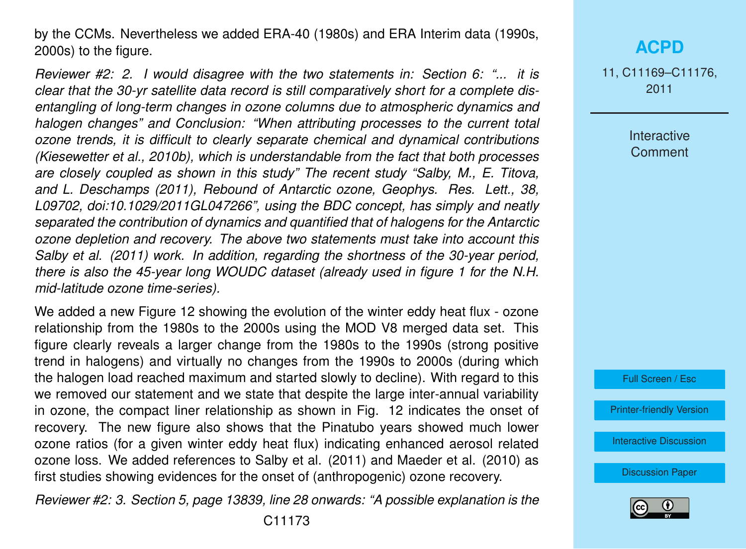by the CCMs. Nevertheless we added ERA-40 (1980s) and ERA Interim data (1990s, 2000s) to the figure.

*Reviewer #2: 2. I would disagree with the two statements in: Section 6: "... it is clear that the 30-yr satellite data record is still comparatively short for a complete disentangling of long-term changes in ozone columns due to atmospheric dynamics and halogen changes" and Conclusion: "When attributing processes to the current total ozone trends, it is difficult to clearly separate chemical and dynamical contributions (Kiesewetter et al., 2010b), which is understandable from the fact that both processes are closely coupled as shown in this study" The recent study "Salby, M., E. Titova, and L. Deschamps (2011), Rebound of Antarctic ozone, Geophys. Res. Lett., 38, L09702, doi:10.1029/2011GL047266", using the BDC concept, has simply and neatly separated the contribution of dynamics and quantified that of halogens for the Antarctic ozone depletion and recovery. The above two statements must take into account this Salby et al. (2011) work. In addition, regarding the shortness of the 30-year period, there is also the 45-year long WOUDC dataset (already used in figure 1 for the N.H. mid-latitude ozone time-series).*

We added a new Figure 12 showing the evolution of the winter eddy heat flux - ozone relationship from the 1980s to the 2000s using the MOD V8 merged data set. This figure clearly reveals a larger change from the 1980s to the 1990s (strong positive trend in halogens) and virtually no changes from the 1990s to 2000s (during which the halogen load reached maximum and started slowly to decline). With regard to this we removed our statement and we state that despite the large inter-annual variability in ozone, the compact liner relationship as shown in Fig. 12 indicates the onset of recovery. The new figure also shows that the Pinatubo years showed much lower ozone ratios (for a given winter eddy heat flux) indicating enhanced aerosol related ozone loss. We added references to Salby et al. (2011) and Maeder et al. (2010) as first studies showing evidences for the onset of (anthropogenic) ozone recovery.

*Reviewer #2: 3. Section 5, page 13839, line 28 onwards: "A possible explanation is the*

### **[ACPD](http://www.atmos-chem-phys-discuss.net)**

11, C11169–C11176, 2011

> Interactive **Comment**



[Printer-friendly Version](http://www.atmos-chem-phys-discuss.net/11/C11169/2011/acpd-11-C11169-2011-print.pdf)

[Interactive Discussion](http://www.atmos-chem-phys-discuss.net/11/13829/2011/acpd-11-13829-2011-discussion.html)

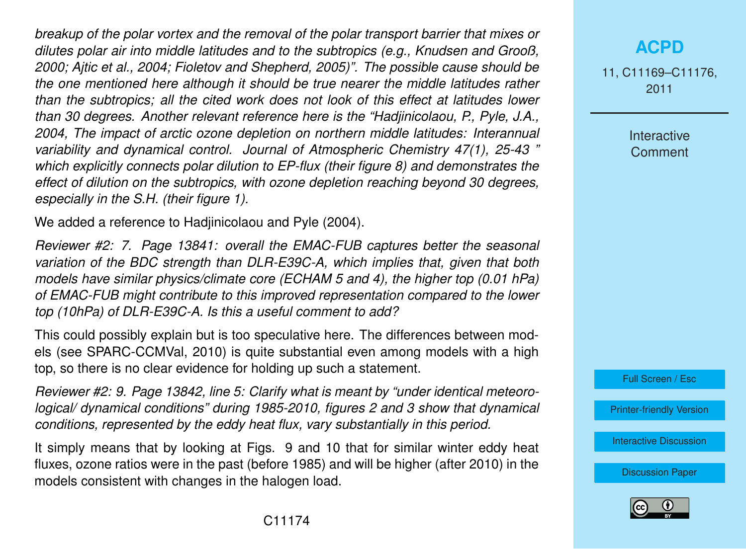*breakup of the polar vortex and the removal of the polar transport barrier that mixes or dilutes polar air into middle latitudes and to the subtropics (e.g., Knudsen and Grooß, 2000; Ajtic et al., 2004; Fioletov and Shepherd, 2005)". The possible cause should be the one mentioned here although it should be true nearer the middle latitudes rather than the subtropics; all the cited work does not look of this effect at latitudes lower than 30 degrees. Another relevant reference here is the "Hadjinicolaou, P., Pyle, J.A., 2004, The impact of arctic ozone depletion on northern middle latitudes: Interannual variability and dynamical control. Journal of Atmospheric Chemistry 47(1), 25-43 " which explicitly connects polar dilution to EP-flux (their figure 8) and demonstrates the effect of dilution on the subtropics, with ozone depletion reaching beyond 30 degrees, especially in the S.H. (their figure 1).*

We added a reference to Hadjinicolaou and Pyle (2004).

*Reviewer #2: 7. Page 13841: overall the EMAC-FUB captures better the seasonal variation of the BDC strength than DLR-E39C-A, which implies that, given that both models have similar physics/climate core (ECHAM 5 and 4), the higher top (0.01 hPa) of EMAC-FUB might contribute to this improved representation compared to the lower top (10hPa) of DLR-E39C-A. Is this a useful comment to add?*

This could possibly explain but is too speculative here. The differences between models (see SPARC-CCMVal, 2010) is quite substantial even among models with a high top, so there is no clear evidence for holding up such a statement.

*Reviewer #2: 9. Page 13842, line 5: Clarify what is meant by "under identical meteorological/ dynamical conditions" during 1985-2010, figures 2 and 3 show that dynamical conditions, represented by the eddy heat flux, vary substantially in this period.*

It simply means that by looking at Figs. 9 and 10 that for similar winter eddy heat fluxes, ozone ratios were in the past (before 1985) and will be higher (after 2010) in the models consistent with changes in the halogen load.

## **[ACPD](http://www.atmos-chem-phys-discuss.net)**

11, C11169–C11176, 2011

> Interactive **Comment**



[Printer-friendly Version](http://www.atmos-chem-phys-discuss.net/11/C11169/2011/acpd-11-C11169-2011-print.pdf)

[Interactive Discussion](http://www.atmos-chem-phys-discuss.net/11/13829/2011/acpd-11-13829-2011-discussion.html)

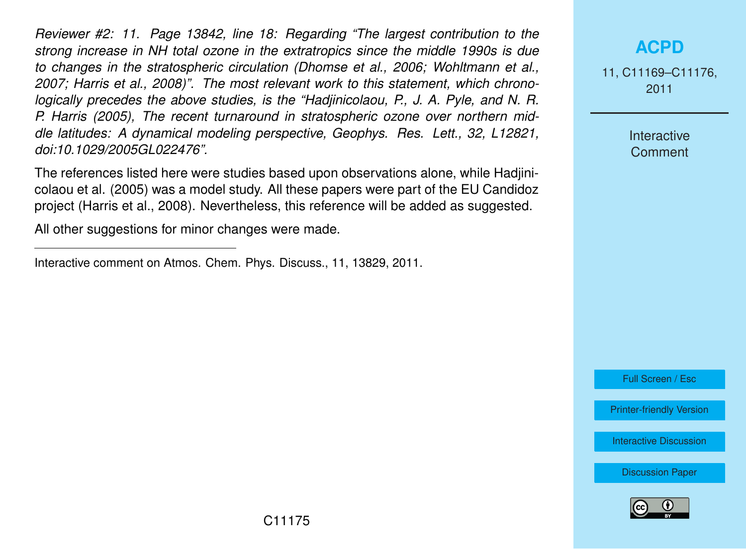*Reviewer #2: 11. Page 13842, line 18: Regarding "The largest contribution to the strong increase in NH total ozone in the extratropics since the middle 1990s is due to changes in the stratospheric circulation (Dhomse et al., 2006; Wohltmann et al., 2007; Harris et al., 2008)". The most relevant work to this statement, which chronologically precedes the above studies, is the "Hadjinicolaou, P., J. A. Pyle, and N. R. P. Harris (2005), The recent turnaround in stratospheric ozone over northern middle latitudes: A dynamical modeling perspective, Geophys. Res. Lett., 32, L12821, doi:10.1029/2005GL022476".*

The references listed here were studies based upon observations alone, while Hadjinicolaou et al. (2005) was a model study. All these papers were part of the EU Candidoz project (Harris et al., 2008). Nevertheless, this reference will be added as suggested.

All other suggestions for minor changes were made.

## **[ACPD](http://www.atmos-chem-phys-discuss.net)**

11, C11169–C11176, 2011

> Interactive **Comment**

Full Screen / Esc

[Printer-friendly Version](http://www.atmos-chem-phys-discuss.net/11/C11169/2011/acpd-11-C11169-2011-print.pdf)

[Interactive Discussion](http://www.atmos-chem-phys-discuss.net/11/13829/2011/acpd-11-13829-2011-discussion.html)



Interactive comment on Atmos. Chem. Phys. Discuss., 11, 13829, 2011.